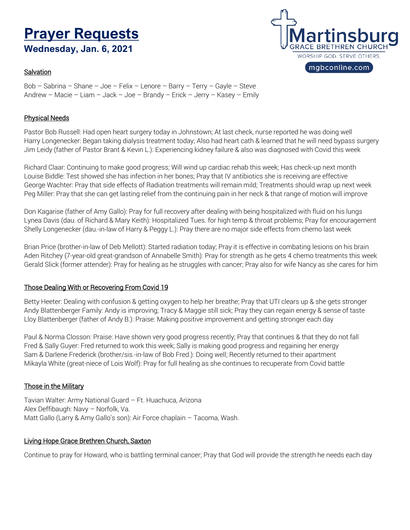# **Prayer RequestsWednesday, Jan. 6, 2021**

# **Salvation**



Bob – Sabrina – Shane – Joe – Felix – Lenore – Barry – Terry – Gayle – Steve Andrew – Macie – Liam – Jack – Joe – Brandy – Erick – Jerry – Kasey – Emily

## Physical Needs

Pastor Bob Russell: Had open heart surgery today in Johnstown; At last check, nurse reported he was doing well Harry Longenecker: Began taking dialysis treatment today; Also had heart cath & learned that he will need bypass surgery Jim Leidy (father of Pastor Brant & Kevin L.): Experiencing kidney failure & also was diagnosed with Covid this week

Richard Claar: Continuing to make good progress; Will wind up cardiac rehab this week; Has check-up next month Louise Biddle: Test showed she has infection in her bones; Pray that IV antibiotics she is receiving are effective George Wachter: Pray that side effects of Radiation treatments will remain mild; Treatments should wrap up next week Peg Miller: Pray that she can get lasting relief from the continuing pain in her neck & that range of motion will improve

Don Kagarise (father of Amy Gallo): Pray for full recovery after dealing with being hospitalized with fluid on his lungs Lynea Davis (dau. of Richard & Mary Keith): Hospitalized Tues. for high temp & throat problems; Pray for encouragement Shelly Longenecker (dau.-in-law of Harry & Peggy L.): Pray there are no major side effects from chemo last week

Brian Price (brother-in-law of Deb Mellott): Started radiation today; Pray it is effective in combating lesions on his brain Aden Ritchey (7-year-old great-grandson of Annabelle Smith): Pray for strength as he gets 4 chemo treatments this week Gerald Slick (former attender): Pray for healing as he struggles with cancer; Pray also for wife Nancy as she cares for him

## Those Dealing With or Recovering From Covid 19

Betty Heeter: Dealing with confusion & getting oxygen to help her breathe; Pray that UTI clears up & she gets stronger Andy Blattenberger Family: Andy is improving; Tracy & Maggie still sick; Pray they can regain energy & sense of taste Lloy Blattenberger (father of Andy B.): Praise: Making positive improvement and getting stronger each day

Paul & Norma Closson: Praise: Have shown very good progress recently; Pray that continues & that they do not fall Fred & Sally Guyer: Fred returned to work this week; Sally is making good progress and regaining her energy Sam & Darlene Frederick (brother/sis.-in-law of Bob Fred.): Doing well; Recently returned to their apartment Mikayla White (great-niece of Lois Wolf): Pray for full healing as she continues to recuperate from Covid battle

# Those in the Military

Tavian Walter: Army National Guard – Ft. Huachuca, Arizona Alex Deffibaugh: Navy – Norfolk, Va. Matt Gallo (Larry & Amy Gallo's son): Air Force chaplain – Tacoma, Wash.

## Living Hope Grace Brethren Church, Saxton

Continue to pray for Howard, who is battling terminal cancer; Pray that God will provide the strength he needs each day